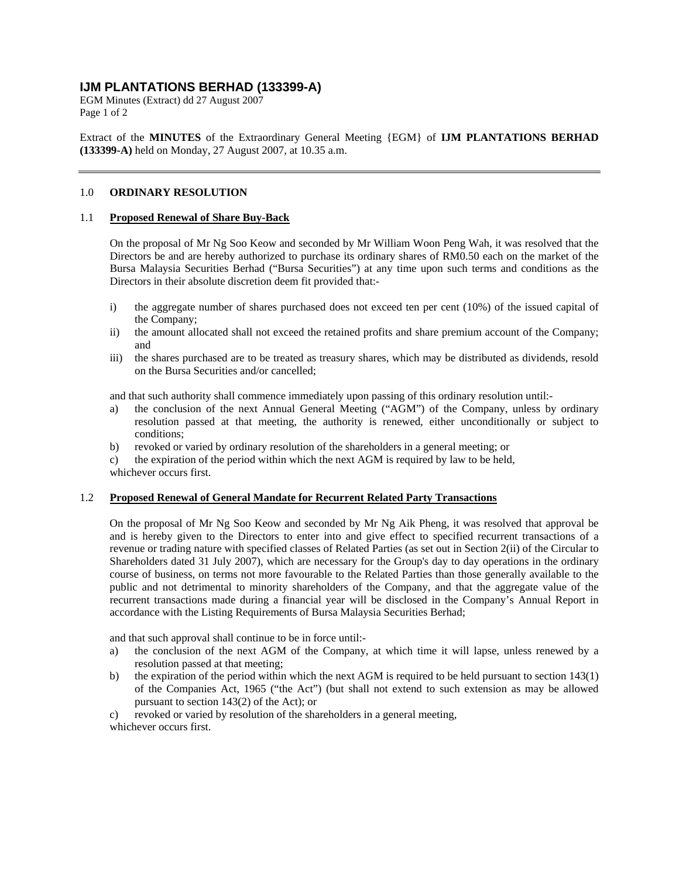# **IJM PLANTATIONS BERHAD (133399-A)**

EGM Minutes (Extract) dd 27 August 2007 Page 1 of 2

Extract of the **MINUTES** of the Extraordinary General Meeting {EGM} of **IJM PLANTATIONS BERHAD (133399-A)** held on Monday, 27 August 2007, at 10.35 a.m.

## 1.0 **ORDINARY RESOLUTION**

### 1.1 **Proposed Renewal of Share Buy-Back**

On the proposal of Mr Ng Soo Keow and seconded by Mr William Woon Peng Wah, it was resolved that the Directors be and are hereby authorized to purchase its ordinary shares of RM0.50 each on the market of the Bursa Malaysia Securities Berhad ("Bursa Securities") at any time upon such terms and conditions as the Directors in their absolute discretion deem fit provided that:-

- i) the aggregate number of shares purchased does not exceed ten per cent (10%) of the issued capital of the Company;
- ii) the amount allocated shall not exceed the retained profits and share premium account of the Company; and
- iii) the shares purchased are to be treated as treasury shares, which may be distributed as dividends, resold on the Bursa Securities and/or cancelled;

and that such authority shall commence immediately upon passing of this ordinary resolution until:-

- a) the conclusion of the next Annual General Meeting ("AGM") of the Company, unless by ordinary resolution passed at that meeting, the authority is renewed, either unconditionally or subject to conditions;
- b) revoked or varied by ordinary resolution of the shareholders in a general meeting; or
- c) the expiration of the period within which the next AGM is required by law to be held,
- whichever occurs first.

#### 1.2 **Proposed Renewal of General Mandate for Recurrent Related Party Transactions**

On the proposal of Mr Ng Soo Keow and seconded by Mr Ng Aik Pheng, it was resolved that approval be and is hereby given to the Directors to enter into and give effect to specified recurrent transactions of a revenue or trading nature with specified classes of Related Parties (as set out in Section 2(ii) of the Circular to Shareholders dated 31 July 2007), which are necessary for the Group's day to day operations in the ordinary course of business, on terms not more favourable to the Related Parties than those generally available to the public and not detrimental to minority shareholders of the Company, and that the aggregate value of the recurrent transactions made during a financial year will be disclosed in the Company's Annual Report in accordance with the Listing Requirements of Bursa Malaysia Securities Berhad;

and that such approval shall continue to be in force until:-

- a) the conclusion of the next AGM of the Company, at which time it will lapse, unless renewed by a resolution passed at that meeting;
- b) the expiration of the period within which the next AGM is required to be held pursuant to section 143(1) of the Companies Act, 1965 ("the Act") (but shall not extend to such extension as may be allowed pursuant to section 143(2) of the Act); or
- c) revoked or varied by resolution of the shareholders in a general meeting,
- whichever occurs first.